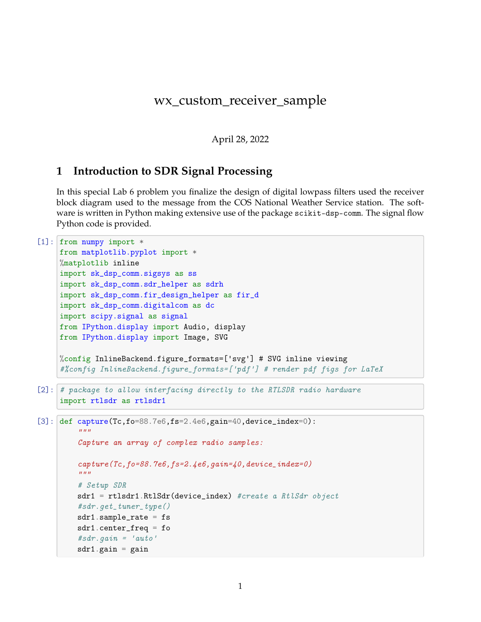# wx\_custom\_receiver\_sample

April 28, 2022

# **1 Introduction to SDR Signal Processing**

In this special Lab 6 problem you finalize the design of digital lowpass filters used the receiver block diagram used to the message from the COS National Weather Service station. The software is written in Python making extensive use of the package scikit-dsp-comm. The signal flow Python code is provided.

```
[1]: from numpy import *
     from matplotlib.pyplot import *
     %matplotlib inline
     import sk_dsp_comm.sigsys as ss
     import sk_dsp_comm.sdr_helper as sdrh
     import sk_dsp_comm.fir_design_helper as fir_d
     import sk_dsp_comm.digitalcom as dc
     import scipy.signal as signal
     from IPython.display import Audio, display
     from IPython.display import Image, SVG
     %config InlineBackend.figure_formats=['svg'] # SVG inline viewing
     #%config InlineBackend.figure_formats=['pdf'] # render pdf figs for LaTeX
[2]: # package to allow interfacing directly to the RTLSDR radio hardware
     import rtlsdr as rtlsdr1
[3]: def capture(Tc,fo=88.7e6,fs=2.4e6,gain=40,device_index=0):
         "''"Capture an array of complex radio samples:
         capture(Tc,fo=88.7e6,fs=2.4e6,gain=40,device_index=0)
         "''"# Setup SDR
         sdr1 = rtlsdr1.RtlSdr(device_index) #create a RtlSdr object
         #sdr.get_tuner_type()
         sdr1.sample_rate = fs
         sdr1.center_freq = fo
         #sdr.gain = 'auto'
         sdr1.gain = gain
```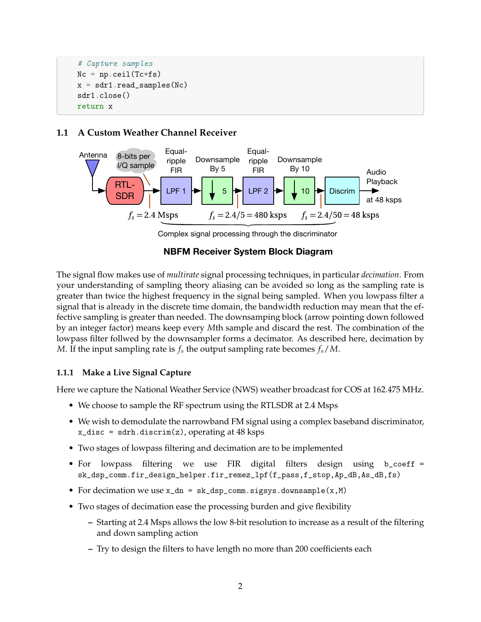```
# Capture samples
Nc = np<u>.</u>ceil(Tc*fs)x = sdr1.read_samples(Nc)sdr1.close()
return x
```
## **1.1 A Custom Weather Channel Receiver**



Complex signal processing through the discriminator

## **NBFM Receiver System Block Diagram**

The signal flow makes use of *multirate* signal processing techniques, in particular *decimation*. From your understanding of sampling theory aliasing can be avoided so long as the sampling rate is greater than twice the highest frequency in the signal being sampled. When you lowpass filter a signal that is already in the discrete time domain, the bandwidth reduction may mean that the effective sampling is greater than needed. The downsamping block (arrow pointing down followed by an integer factor) means keep every *M*th sample and discard the rest. The combination of the lowpass filter follwed by the downsampler forms a decimator. As described here, decimation by *M*. If the input sampling rate is *f<sup>s</sup>* the output sampling rate becomes *fs*/*M*.

## **1.1.1 Make a Live Signal Capture**

Here we capture the National Weather Service (NWS) weather broadcast for COS at 162.475 MHz.

- We choose to sample the RF spectrum using the RTLSDR at 2.4 Msps
- We wish to demodulate the narrowband FM signal using a complex baseband discriminator,  $x\_disc = sdrh.discrim(z)$ , operating at 48 ksps
- Two stages of lowpass filtering and decimation are to be implemented
- For lowpass filtering we use FIR digital filters design using b\_coeff = sk\_dsp\_comm.fir\_design\_helper.fir\_remez\_lpf(f\_pass,f\_stop,Ap\_dB,As\_dB,fs)
- For decimation we use  $x\_dn = sk\_dsp\_comm.sigsys.downsample(x, M)$
- Two stages of decimation ease the processing burden and give flexibility
	- **–** Starting at 2.4 Msps allows the low 8-bit resolution to increase as a result of the filtering and down sampling action
	- **–** Try to design the filters to have length no more than 200 coefficients each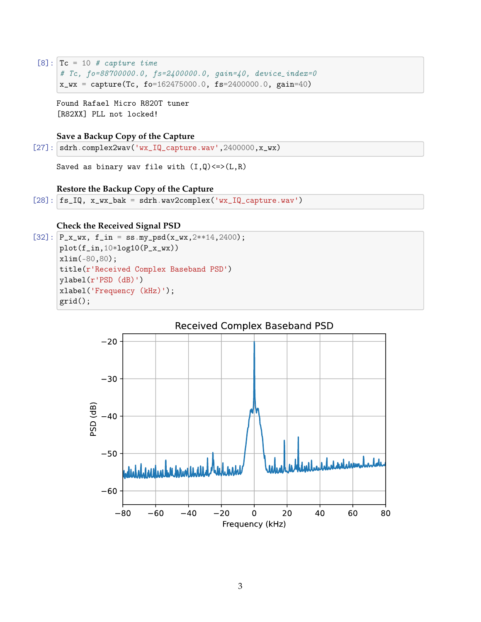```
[8]: Tc = 10 # capture time
     # Tc, fo=88700000.0, fs=2400000.0, gain=40, device_index=0
    x_wx = capture(Tc, fo=162475000.0, fs=2400000.0, gain=40)
```

```
Found Rafael Micro R820T tuner
[R82XX] PLL not locked!
```
## **Save a Backup Copy of the Capture**

 $[27]$ : sdrh.complex2wav('wx\_IQ\_capture.wav',2400000,x\_wx)

Saved as binary wav file with  $(I,Q) \leq >(L,R)$ 

#### **Restore the Backup Copy of the Capture**

```
[28]: fs_IQ, x_wx_bak = sdrh.wav2complex('wx_IQ_capture.wav')
```
#### **Check the Received Signal PSD**

```
[32]: P_x_wx, f_in = ssmy_psd(x_wx, 2**14, 2400);
      plot(f_in,10*log10(P_x_wx))
      xlim(-80,80);
      title(r'Received Complex Baseband PSD')
      ylabel(r'PSD (dB)')
      xlabel('Frequency (kHz)');
      grid();
```
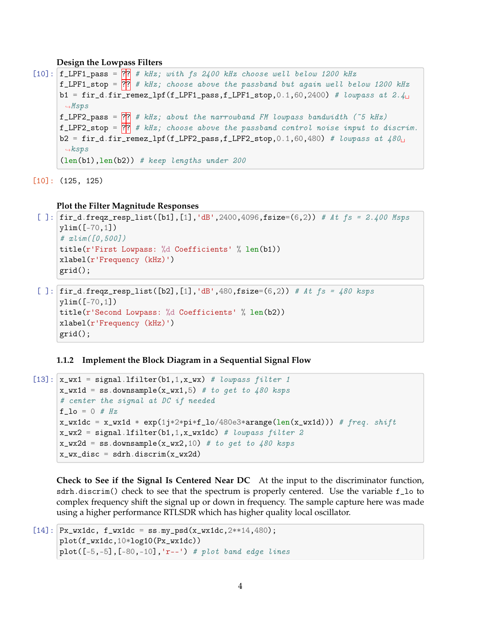#### **Design the Lowpass Filters**

```
[10]: f_LPF1_pass = \overline{??} # kHz; with fs 2400 kHz choose well below 1200 kHz
      f_LPF1_stop = \frac{??}{??} # kHz; choose above the passband but again well below 1200 kHz
      b1 = fir_d.fir_remez_lpf(f_LPF1_pass,f_LPF1_stop,0.1,60,2400) # lowpass at 2.4
       \rightarrowMsps
      f_LPF2_pass = \overline{?} # kHz; about the narrowband FM lowpass bandwidth (~5 kHz)
      f LPF2_stop = \overline{?} # kHz; choose above the passband control noise input to discrim.
      b2 = fir_d.fir_remez_lpf(f_LPF2_pass,f_LPF2_stop,0.1,60,480) # lowpass at 480<sub>U</sub>\rightarrowksps
      (len(b1),len(b2)) # keep lengths under 200
```
[10]: (125, 125)

**Plot the Filter Magnitude Responses**

```
[ ]: [ir_d.freqz_resp_list([b1],[1],'dB',2400,4096,fsize=(6,2)) # At fs = 2.400 Msps
     ylim([-70,1])
     # xlim([0,500])
     title(r'First Lowpass: %d Coefficients' % len(b1))
     xlabel(r'Frequency (kHz)')
     grid();
```

```
[ ]: \text{fir}_d.\text{freqz\_resp\_list}([b2], [1], 'dB', 480, \text{fsize}=(6,2)) # At fs = 480 ksps
     ylim([-70,1])
     title(r'Second Lowpass: %d Coefficients' % len(b2))
     xlabel(r'Frequency (kHz)')
     grid();
```
**1.1.2 Implement the Block Diagram in a Sequential Signal Flow**

```
[13]: x_wx1 = signalu1 filter(b1,1,x_wx) # lowpass filter 1
      x_wx1d = ss.downsample(x_wx1,5) # to get to 480 ksps# center the signal at DC if needed
      f\_lo = 0 # Hzx_wx1dc = x_wx1d * exp(1j*2*pi*f_lo/480e3*arg(elen(x_wx1d))) # freq. shiftx_{wx2} = signal.lfilter(b1,1,x_{wx1dc}) # lowpass filter 2
      x_wx2d = ss.downsample(x_wx2,10) # to get to 480 ksysx_wx_disc = sdrh.discrim(x_wx2d)
```
**Check to See if the Signal Is Centered Near DC** At the input to the discriminator function, sdrh.discrim() check to see that the spectrum is properly centered. Use the variable f\_lo to complex frequency shift the signal up or down in frequency. The sample capture here was made using a higher performance RTLSDR which has higher quality local oscillator.

```
[14]: Px_wx1dc, f_wx1dc = ss.my_psd(x_wx1dc,2**14,480);
      plot(f_wx1dc,10*log10(Px_wx1dc))
      plot([-5,-5], [-80,-10], 'r--') # plot band edge lines
```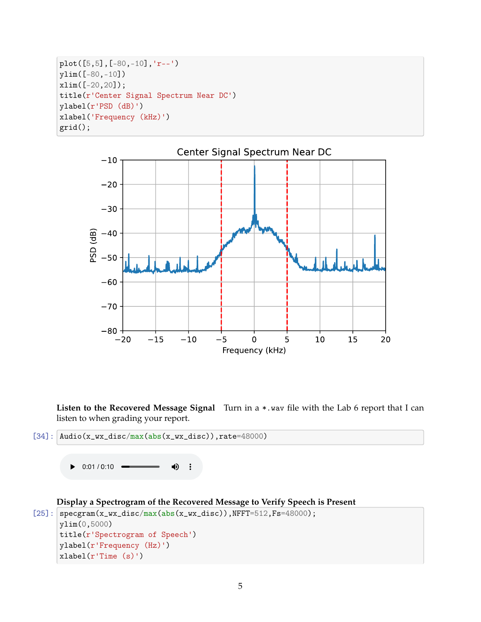```
plot([5,5],[-80,-10],'r--')
ylim([-80,-10])
xlim([-20,20]);
title(r'Center Signal Spectrum Near DC')
ylabel(r'PSD (dB)')
xlabel('Frequency (kHz)')
grid();
```


**Listen to the Recovered Message Signal** Turn in a \*.wav file with the Lab 6 report that I can listen to when grading your report.

```
[34]: \DeltaAudio(x_wx_disc/max(abs(x_wx_disc)),rate=48000)
```
 $\triangleright$  0:01 / 0:10  $\blacksquare$ ♦

```
Display a Spectrogram of the Recovered Message to Verify Speech is Present
```

```
[25]: specgram(x_wx_disc/max(abs(x_wx_disc)),NFFT=512,Fs=48000);
      ylim(0,5000)
      title(r'Spectrogram of Speech')
      ylabel(r'Frequency (Hz)')
      xlabel(r'Time (s)')
```